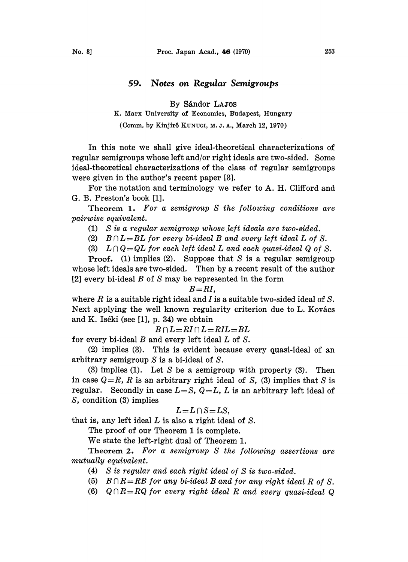## 59. Notes on Regular Semigroups

By Sándor LAJOS

K. Marx University of Economics, Budapest, Hungary

(Comm. by Kinjirô KuNuGI, M. J. A., March 12, 1970)

In this note we shall give ideal-theoretical characterizations of regular semigroups whose left and/or right ideals are two-sided. Some ideal-theoretical characterizations of the class of regular semigroups were given in the author's recent paper [3].

For the notation and terminology we refer to A. H. Clifford and G. B. Preston's book [1].

Theorem 1. For a semigroup S the following conditions are pairwise equivalent.

- (1) S is a regular semigroup whose left ideals are two-sided.
- (2)  $B \cap L = BL$  for every bi-ideal B and every left ideal L of S.

(3)  $L \cap Q = QL$  for each left ideal L and each quasi-ideal Q of S.

**Proof.** (1) implies (2). Suppose that S is a regular semigroup whose left ideals are two-sided. Then by a recent result of the author [2] every bi-ideal  $B$  of  $S$  may be represented in the form

## $B=RI$ ,

where R is a suitable right ideal and I is a suitable two-sided ideal of S. Next applying the well known regularity criterion due to L. Kovács and K. Iséki (see  $[1]$ , p. 34) we obtain

 $B \cap L = RI \cap L = RIL = BL$ 

for every bi-ideal  $B$  and every left ideal  $L$  of  $S$ .

(2) implies (3). This is evident because every quasi-ideal of an arbitrary semigroup S is a bi-ideal of S.

(3) implies (1). Let S be a semigroup with property (3). Then in case  $Q=R$ , R is an arbitrary right ideal of S, (3) implies that S is regular. Secondly in case  $L = S$ ,  $Q = L$ , L is an arbitrary left ideal of S, condition (3) implies

## $L=L\cap S=LS$ ,

that is, any left ideal  $L$  is also a right ideal of  $S$ .

The proof of our Theorem 1 is complete.

We state the left-right dual of Theorem 1.

Theorem 2. For a semigroup S the following assertions are mutually equivalent.

- (4) S is regular and each right ideal of S is two-sided.
- (5)  $B \cap R = RB$  for any bi-ideal B and for any right ideal R of S.
- (6)  $Q \cap R = RQ$  for every right ideal R and every quasi-ideal Q